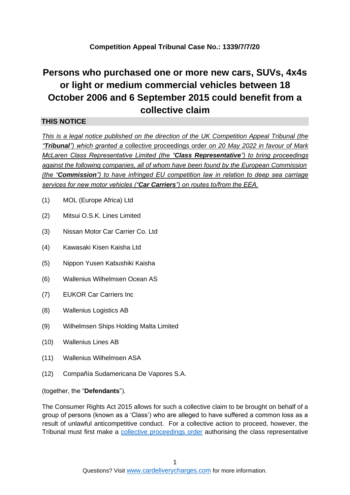## **Competition Appeal Tribunal Case No.: 1339/7/7/20**

# **Persons who purchased one or more new cars, SUVs, 4x4s or light or medium commercial vehicles between 18 October 2006 and 6 September 2015 could benefit from a collective claim**

### **THIS NOTICE**

*This is a legal notice published on the direction of the UK Competition Appeal Tribunal (the "Tribunal") which granted a* collective proceedings order *on 20 May 2022 in favour of Mark McLaren Class Representative Limited (the "Class Representative") to bring proceedings against the following companies, all of whom have been found by the European Commission (the "Commission") to have infringed EU competition law in relation to deep sea carriage services for new motor vehicles ("Car Carriers") on routes to/from the EEA.* 

- (1) MOL (Europe Africa) Ltd
- (2) Mitsui O.S.K. Lines Limited
- (3) Nissan Motor Car Carrier Co. Ltd
- (4) Kawasaki Kisen Kaisha Ltd
- (5) Nippon Yusen Kabushiki Kaisha
- (6) Wallenius Wilhelmsen Ocean AS
- (7) EUKOR Car Carriers Inc
- (8) Wallenius Logistics AB
- (9) Wilhelmsen Ships Holding Malta Limited
- (10) Wallenius Lines AB
- (11) Wallenius Wilhelmsen ASA
- (12) Compañía Sudamericana De Vapores S.A.

(together, the "**Defendants**").

The Consumer Rights Act 2015 allows for such a collective claim to be brought on behalf of a group of persons (known as a 'Class') who are alleged to have suffered a common loss as a result of unlawful anticompetitive conduct. For a collective action to proceed, however, the Tribunal must first make a [collective proceedings order](https://cardeliverycharges.com/media/1136/collective-proceedings-order.pdf) authorising the class representative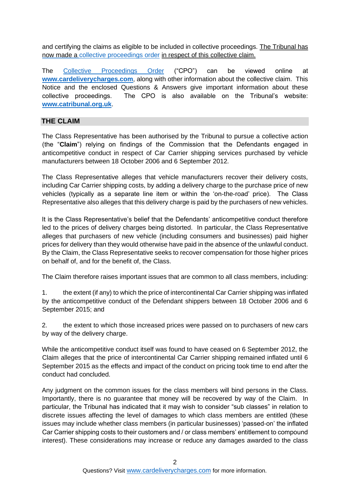and certifying the claims as eligible to be included in collective proceedings. The Tribunal has now made a [collective proceedings order](https://cardeliverycharges.com/media/1136/collective-proceedings-order.pdf) in respect of this collective claim.

The [Collective Proceedings Order](https://cardeliverycharges.com/media/1136/collective-proceedings-order.pdf) [\(](https://cardeliverycharges.com/media/1136/collective-proceedings-order.pdf)"CPO") can be viewed online at **www.cardeliverycharges.com**, along with other information about the collective claim. This Notice and the enclosed Questions & Answers give important information about these collective proceedings. The CPO is also available on the Tribunal's website: **www.catribunal.org.uk**.

## **THE CLAIM**

The Class Representative has been authorised by the Tribunal to pursue a collective action (the "**Claim**") relying on findings of the Commission that the Defendants engaged in anticompetitive conduct in respect of Car Carrier shipping services purchased by vehicle manufacturers between 18 October 2006 and 6 September 2012.

The Class Representative alleges that vehicle manufacturers recover their delivery costs, including Car Carrier shipping costs, by adding a delivery charge to the purchase price of new vehicles (typically as a separate line item or within the 'on-the-road' price). The Class Representative also alleges that this delivery charge is paid by the purchasers of new vehicles.

It is the Class Representative's belief that the Defendants' anticompetitive conduct therefore led to the prices of delivery charges being distorted. In particular, the Class Representative alleges that purchasers of new vehicle (including consumers and businesses) paid higher prices for delivery than they would otherwise have paid in the absence of the unlawful conduct. By the Claim, the Class Representative seeks to recover compensation for those higher prices on behalf of, and for the benefit of, the Class.

The Claim therefore raises important issues that are common to all class members, including:

1. the extent (if any) to which the price of intercontinental Car Carrier shipping was inflated by the anticompetitive conduct of the Defendant shippers between 18 October 2006 and 6 September 2015; and

2. the extent to which those increased prices were passed on to purchasers of new cars by way of the delivery charge.

While the anticompetitive conduct itself was found to have ceased on 6 September 2012, the Claim alleges that the price of intercontinental Car Carrier shipping remained inflated until 6 September 2015 as the effects and impact of the conduct on pricing took time to end after the conduct had concluded.

Any judgment on the common issues for the class members will bind persons in the Class. Importantly, there is no guarantee that money will be recovered by way of the Claim. In particular, the Tribunal has indicated that it may wish to consider "sub classes" in relation to discrete issues affecting the level of damages to which class members are entitled (these issues may include whether class members (in particular businesses) 'passed-on' the inflated Car Carrier shipping costs to their customers and / or class members' entitlement to compound interest). These considerations may increase or reduce any damages awarded to the class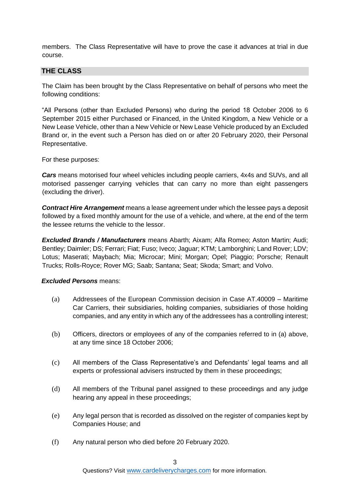members. The Class Representative will have to prove the case it advances at trial in due course.

#### **THE CLASS**

The Claim has been brought by the Class Representative on behalf of persons who meet the following conditions:

"All Persons (other than Excluded Persons) who during the period 18 October 2006 to 6 September 2015 either Purchased or Financed, in the United Kingdom, a New Vehicle or a New Lease Vehicle, other than a New Vehicle or New Lease Vehicle produced by an Excluded Brand or, in the event such a Person has died on or after 20 February 2020, their Personal Representative.

For these purposes:

*Cars* means motorised four wheel vehicles including people carriers, 4x4s and SUVs, and all motorised passenger carrying vehicles that can carry no more than eight passengers (excluding the driver).

*Contract Hire Arrangement* means a lease agreement under which the lessee pays a deposit followed by a fixed monthly amount for the use of a vehicle, and where, at the end of the term the lessee returns the vehicle to the lessor.

*Excluded Brands / Manufacturers* means Abarth; Aixam; Alfa Romeo; Aston Martin; Audi; Bentley; Daimler; DS; Ferrari; Fiat; Fuso; Iveco; Jaguar; KTM; Lamborghini; Land Rover; LDV; Lotus; Maserati; Maybach; Mia; Microcar; Mini; Morgan; Opel; Piaggio; Porsche; Renault Trucks; Rolls-Royce; Rover MG; Saab; Santana; Seat; Skoda; Smart; and Volvo.

#### *Excluded Persons* means:

- (a) Addressees of the European Commission decision in Case AT.40009 Maritime Car Carriers, their subsidiaries, holding companies, subsidiaries of those holding companies, and any entity in which any of the addressees has a controlling interest;
- (b) Officers, directors or employees of any of the companies referred to in (a) above, at any time since 18 October 2006;
- (c) All members of the Class Representative's and Defendants' legal teams and all experts or professional advisers instructed by them in these proceedings;
- (d) All members of the Tribunal panel assigned to these proceedings and any judge hearing any appeal in these proceedings;
- (e) Any legal person that is recorded as dissolved on the register of companies kept by Companies House; and
- (f) Any natural person who died before 20 February 2020.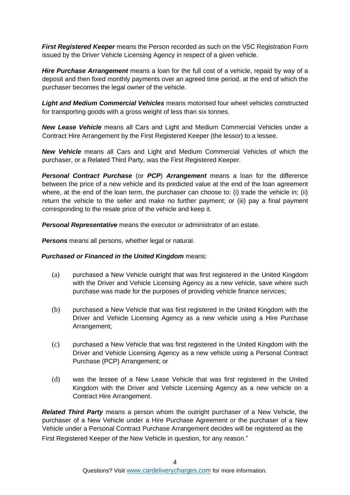*First Registered Keeper* means the Person recorded as such on the V5C Registration Form issued by the Driver Vehicle Licensing Agency in respect of a given vehicle.

*Hire Purchase Arrangement* means a loan for the full cost of a vehicle, repaid by way of a deposit and then fixed monthly payments over an agreed time period, at the end of which the purchaser becomes the legal owner of the vehicle.

*Light and Medium Commercial Vehicles* means motorised four wheel vehicles constructed for transporting goods with a gross weight of less than six tonnes.

*New Lease Vehicle* means all Cars and Light and Medium Commercial Vehicles under a Contract Hire Arrangement by the First Registered Keeper (the lessor) to a lessee.

*New Vehicle* means all Cars and Light and Medium Commercial Vehicles of which the purchaser, or a Related Third Party, was the First Registered Keeper.

*Personal Contract Purchase* (or *PCP*) *Arrangement* means a loan for the difference between the price of a new vehicle and its predicted value at the end of the loan agreement where, at the end of the loan term, the purchaser can choose to: (i) trade the vehicle in; (ii) return the vehicle to the seller and make no further payment; or (iii) pay a final payment corresponding to the resale price of the vehicle and keep it.

*Personal Representative* means the executor or administrator of an estate.

*Persons* means all persons, whether legal or natural.

#### *Purchased or Financed in the United Kingdom means:*

- (a) purchased a New Vehicle outright that was first registered in the United Kingdom with the Driver and Vehicle Licensing Agency as a new vehicle, save where such purchase was made for the purposes of providing vehicle finance services;
- (b) purchased a New Vehicle that was first registered in the United Kingdom with the Driver and Vehicle Licensing Agency as a new vehicle using a Hire Purchase Arrangement;
- (c) purchased a New Vehicle that was first registered in the United Kingdom with the Driver and Vehicle Licensing Agency as a new vehicle using a Personal Contract Purchase (PCP) Arrangement; or
- (d) was the lessee of a New Lease Vehicle that was first registered in the United Kingdom with the Driver and Vehicle Licensing Agency as a new vehicle on a Contract Hire Arrangement.

*Related Third Party* means a person whom the outright purchaser of a New Vehicle, the purchaser of a New Vehicle under a Hire Purchase Agreement or the purchaser of a New Vehicle under a Personal Contract Purchase Arrangement decides will be registered as the First Registered Keeper of the New Vehicle in question, for any reason."